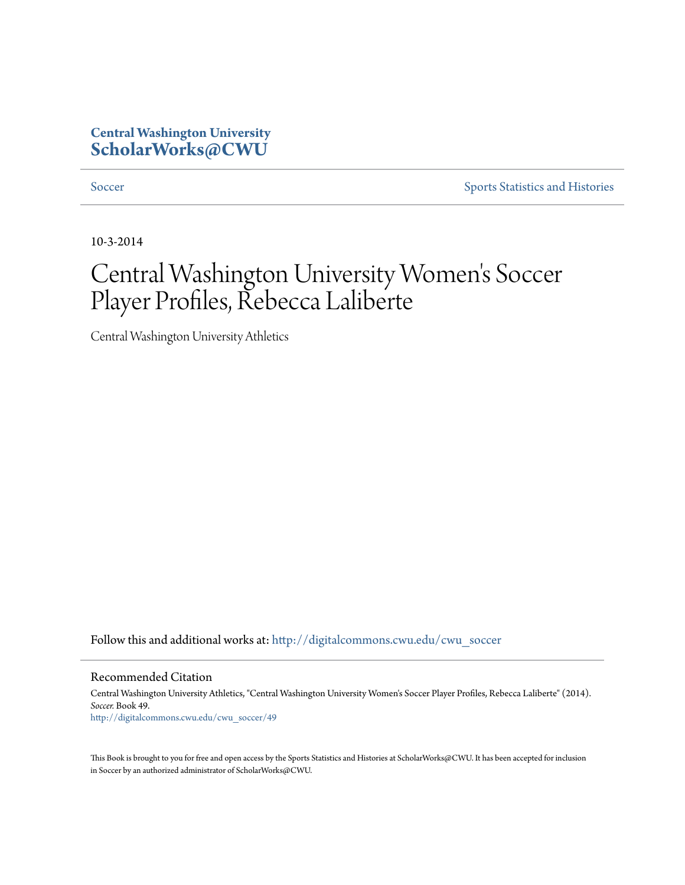## **Central Washington University [ScholarWorks@CWU](http://digitalcommons.cwu.edu?utm_source=digitalcommons.cwu.edu%2Fcwu_soccer%2F49&utm_medium=PDF&utm_campaign=PDFCoverPages)**

[Soccer](http://digitalcommons.cwu.edu/cwu_soccer?utm_source=digitalcommons.cwu.edu%2Fcwu_soccer%2F49&utm_medium=PDF&utm_campaign=PDFCoverPages) [Sports Statistics and Histories](http://digitalcommons.cwu.edu/cwu_sports_statistics?utm_source=digitalcommons.cwu.edu%2Fcwu_soccer%2F49&utm_medium=PDF&utm_campaign=PDFCoverPages)

10-3-2014

## Central Washington University Women 's Soccer Player Profiles, Rebecca Laliberte

Central Washington University Athletics

Follow this and additional works at: [http://digitalcommons.cwu.edu/cwu\\_soccer](http://digitalcommons.cwu.edu/cwu_soccer?utm_source=digitalcommons.cwu.edu%2Fcwu_soccer%2F49&utm_medium=PDF&utm_campaign=PDFCoverPages)

Recommended Citation

Central Washington University Athletics, "Central Washington University Women's Soccer Player Profiles, Rebecca Laliberte" (2014). *Soccer.* Book 49. [http://digitalcommons.cwu.edu/cwu\\_soccer/49](http://digitalcommons.cwu.edu/cwu_soccer/49?utm_source=digitalcommons.cwu.edu%2Fcwu_soccer%2F49&utm_medium=PDF&utm_campaign=PDFCoverPages)

This Book is brought to you for free and open access by the Sports Statistics and Histories at ScholarWorks@CWU. It has been accepted for inclusion in Soccer by an authorized administrator of ScholarWorks@CWU.